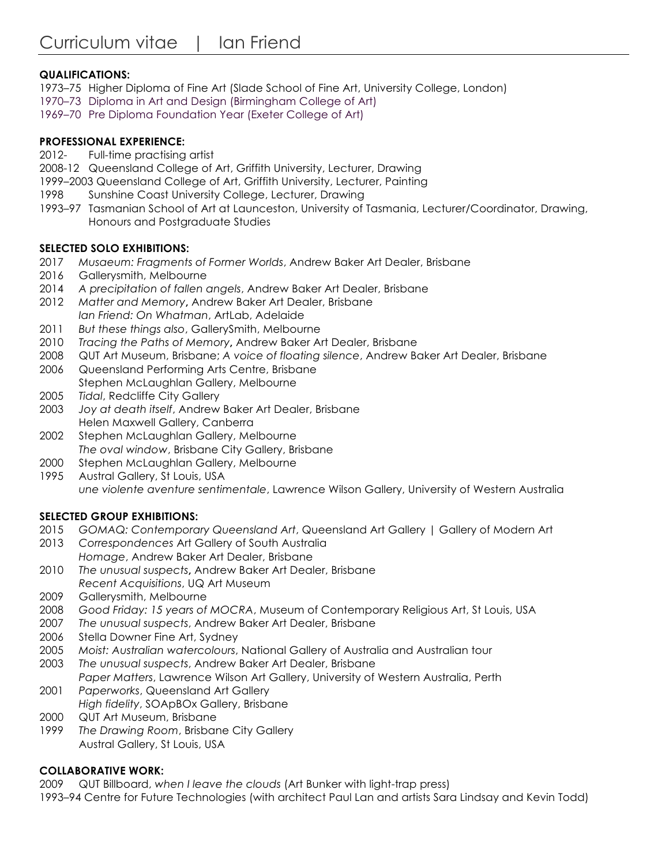# **QUALIFICATIONS:**

- 1973–75 Higher Diploma of Fine Art (Slade School of Fine Art, University College, London)
- 1970–73 Diploma in Art and Design (Birmingham College of Art)
- 1969–70 Pre Diploma Foundation Year (Exeter College of Art)

## **PROFESSIONAL EXPERIENCE:**

- 2012- Full-time practising artist
- 2008-12 Queensland College of Art, Griffith University, Lecturer, Drawing
- 1999–2003 Queensland College of Art, Griffith University, Lecturer, Painting
- 1998 Sunshine Coast University College, Lecturer, Drawing
- 1993–97 Tasmanian School of Art at Launceston, University of Tasmania, Lecturer/Coordinator, Drawing, Honours and Postgraduate Studies

### **SELECTED SOLO EXHIBITIONS:**

- 2017 *Musaeum: Fragments of Former Worlds*, Andrew Baker Art Dealer, Brisbane
- 2016 Gallerysmith, Melbourne
- 2014 *A precipitation of fallen angels*, Andrew Baker Art Dealer, Brisbane
- 2012 *Matter and Memory***,** Andrew Baker Art Dealer, Brisbane *Ian Friend: On Whatman*, ArtLab, Adelaide
- 2011 *But these things also*, GallerySmith, Melbourne
- 2010 *Tracing the Paths of Memory***,** Andrew Baker Art Dealer, Brisbane
- 2008 QUT Art Museum, Brisbane; *A voice of floating silence*, Andrew Baker Art Dealer, Brisbane
- 2006 Queensland Performing Arts Centre, Brisbane Stephen McLaughlan Gallery, Melbourne
- 2005 *Tidal*, Redcliffe City Gallery
- 2003 *Joy at death itself*, Andrew Baker Art Dealer, Brisbane Helen Maxwell Gallery, Canberra
- 2002 Stephen McLaughlan Gallery, Melbourne *The oval window*, Brisbane City Gallery, Brisbane
- 2000 Stephen McLaughlan Gallery, Melbourne
- 1995 Austral Gallery, St Louis, USA *une violente aventure sentimentale*, Lawrence Wilson Gallery, University of Western Australia

## **SELECTED GROUP EXHIBITIONS:**

- 2015 *GOMAQ: Contemporary Queensland Art*, Queensland Art Gallery | Gallery of Modern Art
- 2013 *Correspondences* Art Gallery of South Australia *Homage*, Andrew Baker Art Dealer, Brisbane
- 2010 *The unusual suspects***,** Andrew Baker Art Dealer, Brisbane *Recent Acquisitions*, UQ Art Museum
- 2009 Gallerysmith, Melbourne
- 2008 *Good Friday: 15 years of MOCRA*, Museum of Contemporary Religious Art, St Louis, USA
- 2007 *The unusual suspects*, Andrew Baker Art Dealer, Brisbane
- 2006 Stella Downer Fine Art, Sydney
- 2005 *Moist: Australian watercolours*, National Gallery of Australia and Australian tour
- 2003 *The unusual suspects*, Andrew Baker Art Dealer, Brisbane
- *Paper Matters*, Lawrence Wilson Art Gallery, University of Western Australia, Perth 2001 *Paperworks*, Queensland Art Gallery
- *High fidelity*, SOApBOx Gallery, Brisbane
- 2000 QUT Art Museum, Brisbane
- 1999 *The Drawing Room*, Brisbane City Gallery Austral Gallery, St Louis, USA

## **COLLABORATIVE WORK:**

- 2009 QUT Billboard, *when I leave the clouds* (Art Bunker with light-trap press)
- 1993–94 Centre for Future Technologies (with architect Paul Lan and artists Sara Lindsay and Kevin Todd)